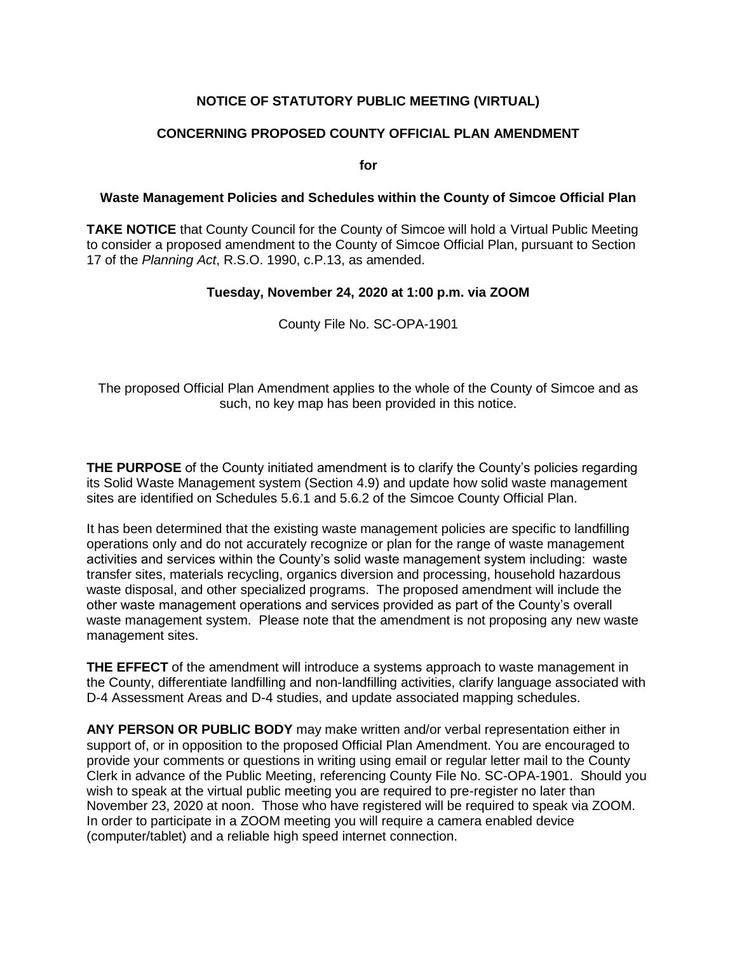## **NOTICE OF STATUTORY PUBLIC MEETING (VIRTUAL)**

## **CONCERNING PROPOSED COUNTY OFFICIAL PLAN AMENDMENT**

**for**

## **Waste Management Policies and Schedules within the County of Simcoe Official Plan**

**TAKE NOTICE** that County Council for the County of Simcoe will hold a Virtual Public Meeting to consider a proposed amendment to the County of Simcoe Official Plan, pursuant to Section 17 of the *Planning Act*, R.S.O. 1990, c.P.13, as amended.

## **Tuesday, November 24, 2020 at 1:00 p.m. via ZOOM**

County File No. SC-OPA-1901

The proposed Official Plan Amendment applies to the whole of the County of Simcoe and as such, no key map has been provided in this notice.

**THE PURPOSE** of the County initiated amendment is to clarify the County's policies regarding its Solid Waste Management system (Section 4.9) and update how solid waste management sites are identified on Schedules 5.6.1 and 5.6.2 of the Simcoe County Official Plan.

It has been determined that the existing waste management policies are specific to landfilling operations only and do not accurately recognize or plan for the range of waste management activities and services within the County's solid waste management system including: waste transfer sites, materials recycling, organics diversion and processing, household hazardous waste disposal, and other specialized programs. The proposed amendment will include the other waste management operations and services provided as part of the County's overall waste management system. Please note that the amendment is not proposing any new waste management sites.

**THE EFFECT** of the amendment will introduce a systems approach to waste management in the County, differentiate landfilling and non-landfilling activities, clarify language associated with D-4 Assessment Areas and D-4 studies, and update associated mapping schedules.

**ANY PERSON OR PUBLIC BODY** may make written and/or verbal representation either in support of, or in opposition to the proposed Official Plan Amendment. You are encouraged to provide your comments or questions in writing using email or regular letter mail to the County Clerk in advance of the Public Meeting, referencing County File No. SC-OPA-1901. Should you wish to speak at the virtual public meeting you are required to pre-register no later than November 23, 2020 at noon. Those who have registered will be required to speak via ZOOM. In order to participate in a ZOOM meeting you will require a camera enabled device (computer/tablet) and a reliable high speed internet connection.